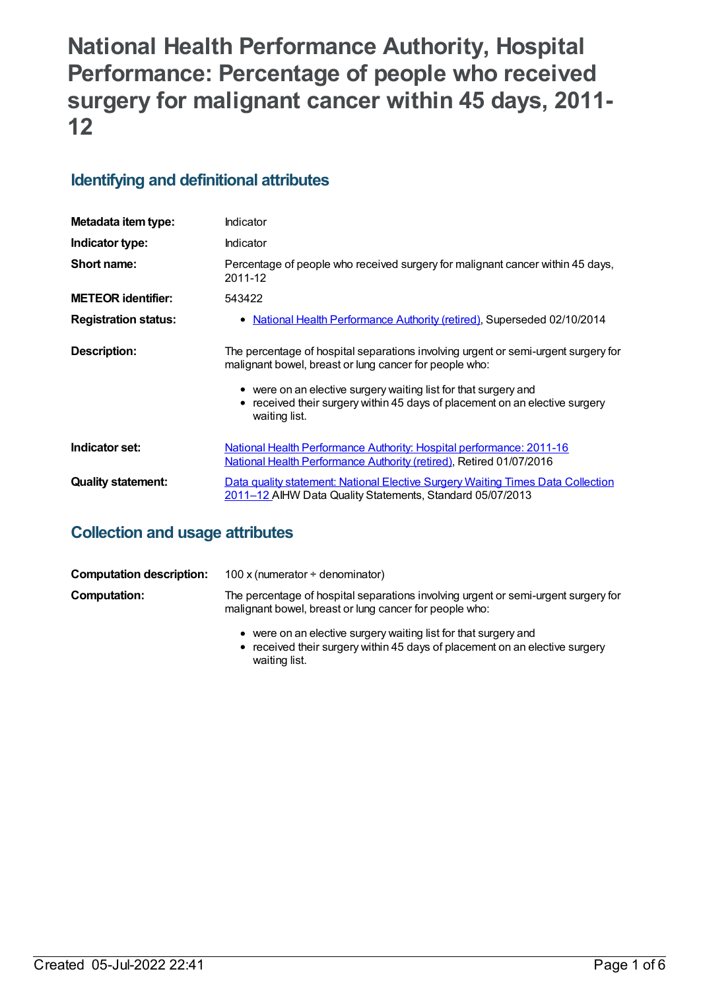# **National Health Performance Authority, Hospital Performance: Percentage of people who received surgery for malignant cancer within 45 days, 2011- 12**

# **Identifying and definitional attributes**

| Metadata item type:         | Indicator                                                                                                                                                                                                                                                                                                     |
|-----------------------------|---------------------------------------------------------------------------------------------------------------------------------------------------------------------------------------------------------------------------------------------------------------------------------------------------------------|
| Indicator type:             | Indicator                                                                                                                                                                                                                                                                                                     |
| Short name:                 | Percentage of people who received surgery for malignant cancer within 45 days,<br>2011-12                                                                                                                                                                                                                     |
| <b>METEOR identifier:</b>   | 543422                                                                                                                                                                                                                                                                                                        |
| <b>Registration status:</b> | National Health Performance Authority (retired), Superseded 02/10/2014<br>٠                                                                                                                                                                                                                                   |
| Description:                | The percentage of hospital separations involving urgent or semi-urgent surgery for<br>malignant bowel, breast or lung cancer for people who:<br>• were on an elective surgery waiting list for that surgery and<br>received their surgery within 45 days of placement on an elective surgery<br>waiting list. |
| Indicator set:              | National Health Performance Authority: Hospital performance: 2011-16<br><b>National Health Performance Authority (retired), Retired 01/07/2016</b>                                                                                                                                                            |
| <b>Quality statement:</b>   | Data quality statement: National Elective Surgery Waiting Times Data Collection<br>2011-12 AIHW Data Quality Statements, Standard 05/07/2013                                                                                                                                                                  |

# **Collection and usage attributes**

| <b>Computation description:</b> | 100 x (numerator $\div$ denominator)                                                                                                         |
|---------------------------------|----------------------------------------------------------------------------------------------------------------------------------------------|
| Computation:                    | The percentage of hospital separations involving urgent or semi-urgent surgery for<br>malignant bowel, breast or lung cancer for people who: |
|                                 | • were on an elective surgery waiting list for that surgery and                                                                              |

received their surgery within 45 days of placement on an elective surgery waiting list.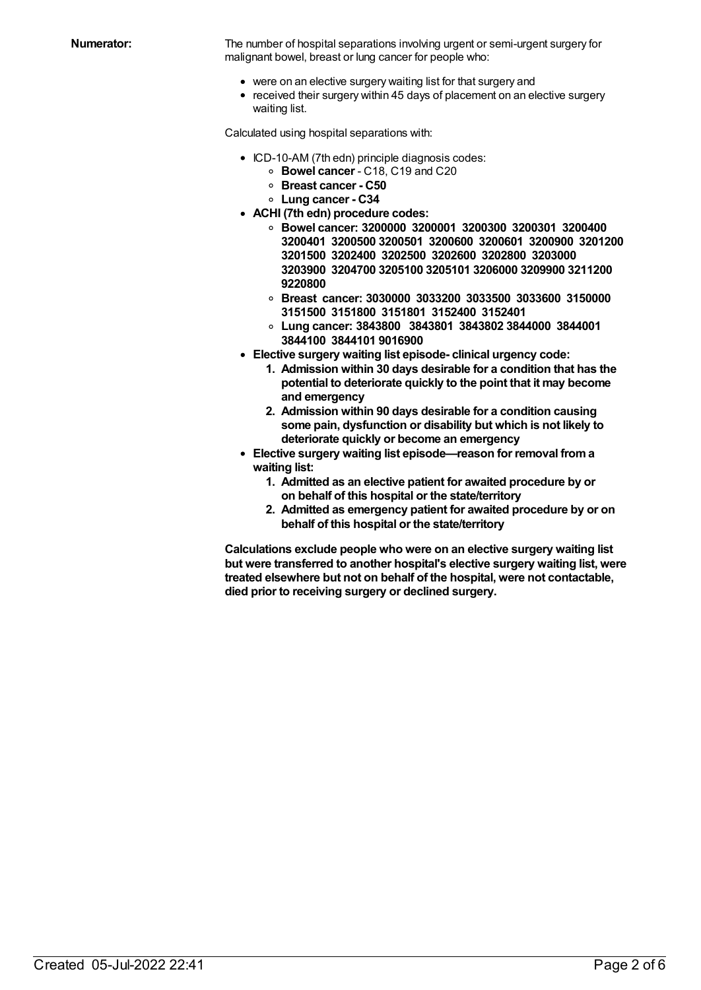**Numerator:** The number of hospital separations involving urgent or semi-urgent surgery for malignant bowel, breast or lung cancer for people who:

- were on an elective surgery waiting list for that surgery and
- received their surgery within 45 days of placement on an elective surgery waiting list.

Calculated using hospital separations with:

- ICD-10-AM (7th edn) principle diagnosis codes:
	- **Bowel cancer** C18, C19 and C20
	- **Breast cancer - C50**
	- **Lung cancer - C34**
- **ACHI (7th edn) procedure codes:**
	- **Bowel cancer: 3200000 3200001 3200300 3200301 3200400 3200401 3200500 3200501 3200600 3200601 3200900 3201200 3201500 3202400 3202500 3202600 3202800 3203000 3203900 3204700 3205100 3205101 3206000 3209900 3211200 9220800**
	- **Breast cancer: 3030000 3033200 3033500 3033600 3150000 3151500 3151800 3151801 3152400 3152401**
	- **Lung cancer: 3843800 3843801 3843802 3844000 3844001 3844100 3844101 9016900**
- **Elective surgery waiting list episode- clinical urgency code:**
	- **1. Admission within 30 days desirable for a condition that has the potential to deteriorate quickly to the point that it may become and emergency**
	- **2. Admission within 90 days desirable for a condition causing some pain, dysfunction or disability but which is not likely to deteriorate quickly or become an emergency**
- **Elective surgery waiting list episode—reason for removal froma waiting list:**
	- **1. Admitted as an elective patient for awaited procedure by or on behalf of this hospital or the state/territory**
	- **2. Admitted as emergency patient for awaited procedure by or on behalf of this hospital or the state/territory**

**Calculations exclude people who were on an elective surgery waiting list but were transferred to another hospital's elective surgery waiting list, were treated elsewhere but not on behalf of the hospital, were not contactable, died prior to receiving surgery or declined surgery.**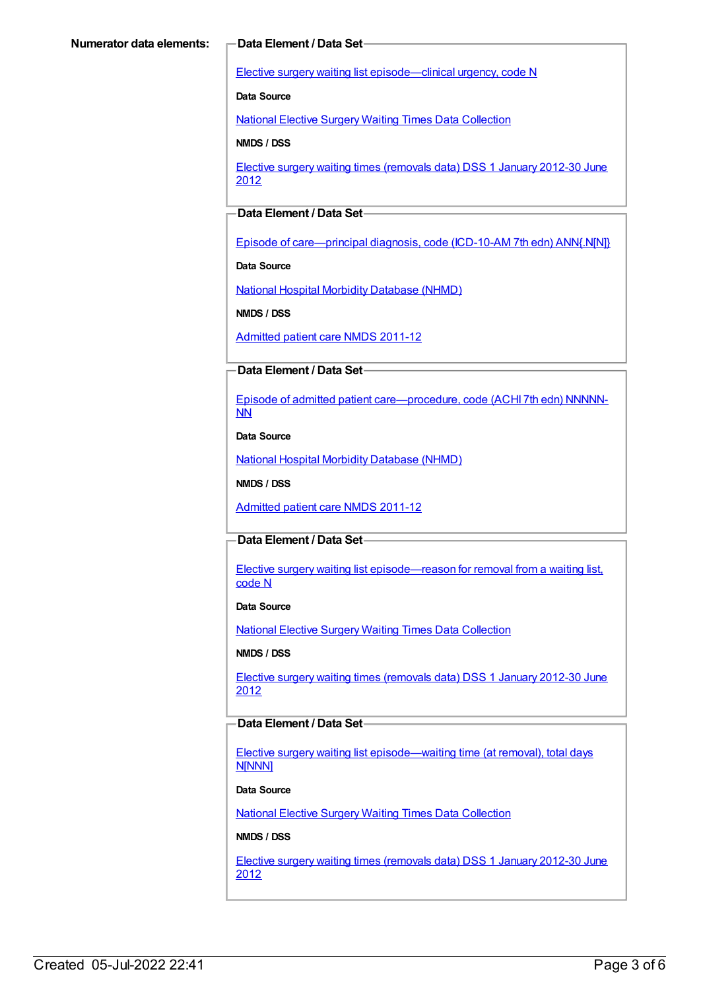Elective surgery waiting list [episode—clinical](https://meteor.aihw.gov.au/content/270008) urgency, code N

**Data Source**

National Elective Surgery Waiting Times Data [Collection](https://meteor.aihw.gov.au/content/395071)

**NMDS / DSS**

Elective surgery waiting times [\(removals](https://meteor.aihw.gov.au/content/470097) data) DSS 1 January 2012-30 June 2012

### **Data Element / Data Set**

Episode of [care—principal](https://meteor.aihw.gov.au/content/391326) diagnosis, code (ICD-10-AM 7th edn) ANN{.N[N]}

**Data Source**

National Hospital Morbidity [Database](https://meteor.aihw.gov.au/content/394352) (NHMD)

**NMDS / DSS**

[Admitted](https://meteor.aihw.gov.au/content/426861) patient care NMDS 2011-12

### **Data Element / Data Set**

Episode of admitted patient [care—procedure,](https://meteor.aihw.gov.au/content/391349) code (ACHI 7th edn) NNNNN-NN

**Data Source**

National Hospital Morbidity [Database](https://meteor.aihw.gov.au/content/394352) (NHMD)

**NMDS / DSS**

[Admitted](https://meteor.aihw.gov.au/content/426861) patient care NMDS 2011-12

### **Data Element / Data Set**

Elective surgery waiting list [episode—reason](https://meteor.aihw.gov.au/content/471735) for removal from a waiting list, code N

**Data Source**

National Elective Surgery Waiting Times Data [Collection](https://meteor.aihw.gov.au/content/395071)

**NMDS / DSS**

Elective surgery waiting times [\(removals](https://meteor.aihw.gov.au/content/470097) data) DSS 1 January 2012-30 June 2012

#### **Data Element / Data Set**

Elective surgery waiting list [episode—waiting](https://meteor.aihw.gov.au/content/471744) time (at removal), total days N[NNN]

#### **Data Source**

National Elective Surgery Waiting Times Data [Collection](https://meteor.aihw.gov.au/content/395071)

#### **NMDS / DSS**

Elective surgery waiting times [\(removals](https://meteor.aihw.gov.au/content/470097) data) DSS 1 January 2012-30 June 2012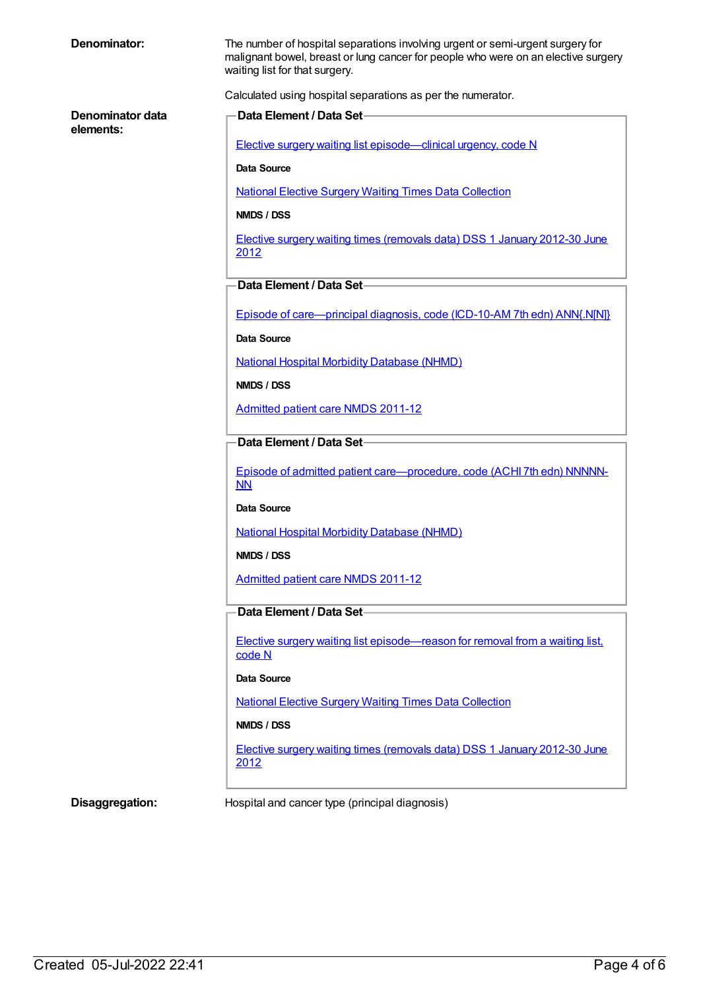| Denominator:                  | The number of hospital separations involving urgent or semi-urgent surgery for<br>malignant bowel, breast or lung cancer for people who were on an elective surgery<br>waiting list for that surgery. |  |
|-------------------------------|-------------------------------------------------------------------------------------------------------------------------------------------------------------------------------------------------------|--|
|                               | Calculated using hospital separations as per the numerator.                                                                                                                                           |  |
| Denominator data<br>elements: | Data Element / Data Set-                                                                                                                                                                              |  |
|                               | Elective surgery waiting list episode—clinical urgency, code N                                                                                                                                        |  |
|                               | Data Source                                                                                                                                                                                           |  |
|                               | <b>National Elective Surgery Waiting Times Data Collection</b>                                                                                                                                        |  |
|                               | NMDS / DSS                                                                                                                                                                                            |  |
|                               | Elective surgery waiting times (removals data) DSS 1 January 2012-30 June<br>2012                                                                                                                     |  |
|                               | Data Element / Data Set-                                                                                                                                                                              |  |
|                               | Episode of care—principal diagnosis, code (ICD-10-AM 7th edn) ANN{.N[N]}                                                                                                                              |  |
|                               | <b>Data Source</b>                                                                                                                                                                                    |  |
|                               | <b>National Hospital Morbidity Database (NHMD)</b>                                                                                                                                                    |  |
|                               | NMDS / DSS                                                                                                                                                                                            |  |
|                               | <b>Admitted patient care NMDS 2011-12</b>                                                                                                                                                             |  |
|                               | Data Element / Data Set-                                                                                                                                                                              |  |
|                               | Episode of admitted patient care-procedure, code (ACHI 7th edn) NNNNN-<br>NN                                                                                                                          |  |
|                               | Data Source                                                                                                                                                                                           |  |
|                               | <b>National Hospital Morbidity Database (NHMD)</b>                                                                                                                                                    |  |
|                               | NMDS / DSS                                                                                                                                                                                            |  |
|                               | <b>Admitted patient care NMDS 2011-12</b>                                                                                                                                                             |  |
|                               | Data Element / Data Set                                                                                                                                                                               |  |
|                               | Elective surgery waiting list episode—reason for removal from a waiting list,<br>code N                                                                                                               |  |
|                               | Data Source                                                                                                                                                                                           |  |
|                               | <b>National Elective Surgery Waiting Times Data Collection</b>                                                                                                                                        |  |
|                               | NMDS / DSS                                                                                                                                                                                            |  |
|                               | Elective surgery waiting times (removals data) DSS 1 January 2012-30 June<br>2012                                                                                                                     |  |
| Disaggregation:               | Hospital and cancer type (principal diagnosis)                                                                                                                                                        |  |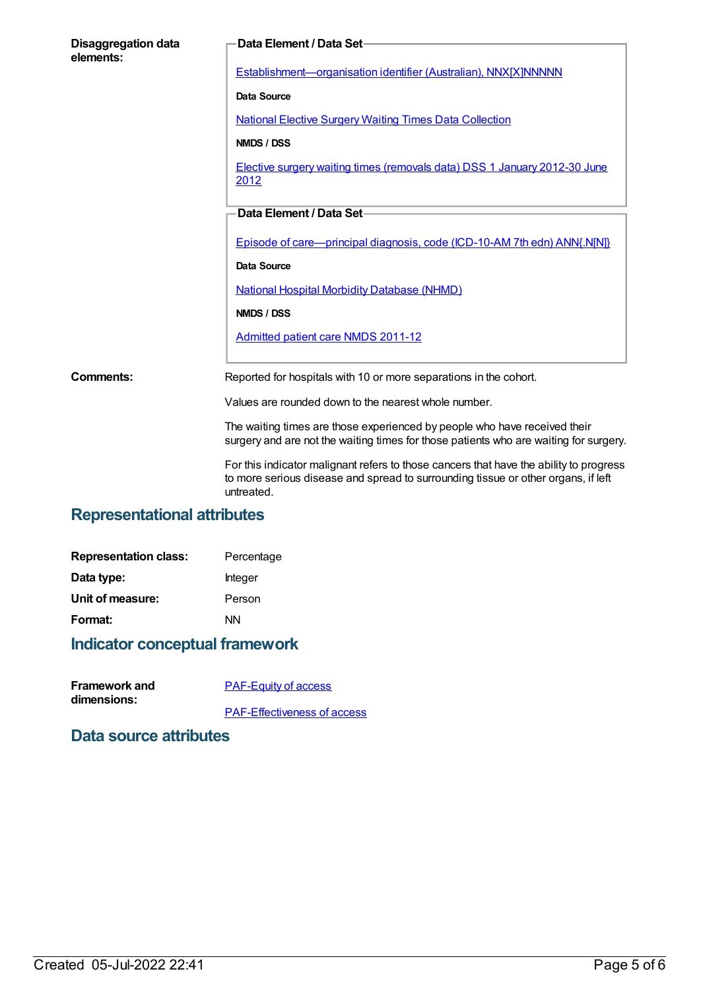| <b>Disaggregation data</b><br>elements: | Data Element / Data Set-                                                                                                                                                    |
|-----------------------------------------|-----------------------------------------------------------------------------------------------------------------------------------------------------------------------------|
|                                         | Establishment-organisation identifier (Australian), NNX[X]NNNNN                                                                                                             |
|                                         | <b>Data Source</b>                                                                                                                                                          |
|                                         | <b>National Elective Surgery Waiting Times Data Collection</b>                                                                                                              |
|                                         | NMDS / DSS                                                                                                                                                                  |
|                                         | Elective surgery waiting times (removals data) DSS 1 January 2012-30 June<br>2012                                                                                           |
|                                         | Data Element / Data Set-                                                                                                                                                    |
|                                         |                                                                                                                                                                             |
|                                         | Episode of care—principal diagnosis, code (ICD-10-AM 7th edn) ANN{.N[N]}                                                                                                    |
|                                         | Data Source                                                                                                                                                                 |
|                                         | <b>National Hospital Morbidity Database (NHMD)</b>                                                                                                                          |
|                                         | NMDS / DSS                                                                                                                                                                  |
|                                         | Admitted patient care NMDS 2011-12                                                                                                                                          |
|                                         |                                                                                                                                                                             |
| Comments:                               | Reported for hospitals with 10 or more separations in the cohort.                                                                                                           |
|                                         | Values are rounded down to the nearest whole number.                                                                                                                        |
|                                         | The waiting times are those experienced by people who have received their<br>surgery and are not the waiting times for those patients who are waiting for surgery.          |
|                                         | For this indicator malignant refers to those cancers that have the ability to progress<br>to more serious disease and spread to surrounding tissue or other organs, if left |

# **Representational attributes**

| <b>Representation class:</b> | Percentage |
|------------------------------|------------|
| Data type:                   | Integer    |
| Unit of measure:             | Person     |
| Format:                      | ΝN         |
|                              |            |

# **Indicator conceptual framework**

| <b>Framework and</b> | <b>PAF-Equity of access</b>        |
|----------------------|------------------------------------|
| dimensions:          |                                    |
|                      | <b>PAF-Effectiveness of access</b> |

untreated.

### **Data source attributes**